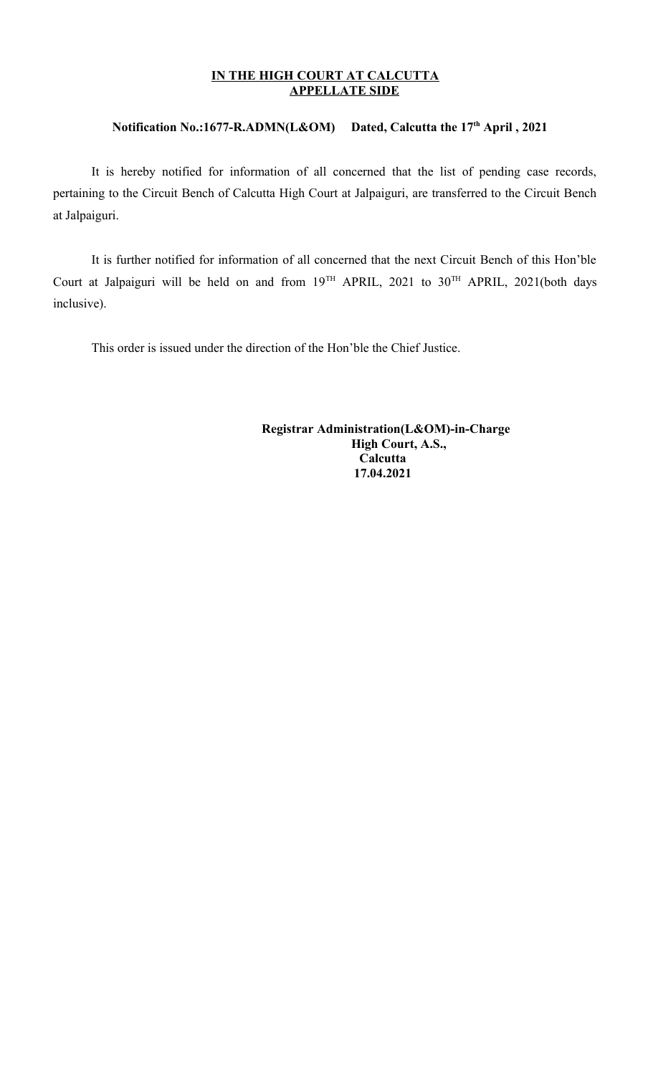## **IN THE HIGH COURT AT CALCUTTA APPELLATE SIDE**

## **Notification No.:1677-R.ADMN(L&OM) Dated, Calcutta the 17th April , 2021**

It is hereby notified for information of all concerned that the list of pending case records, pertaining to the Circuit Bench of Calcutta High Court at Jalpaiguri, are transferred to the Circuit Bench at Jalpaiguri.

It is further notified for information of all concerned that the next Circuit Bench of this Hon'ble Court at Jalpaiguri will be held on and from  $19^{TH}$  APRIL,  $2021$  to  $30^{TH}$  APRIL,  $2021$ (both days inclusive).

This order is issued under the direction of the Hon'ble the Chief Justice.

 **Registrar Administration(L&OM)-in-Charge High Court, A.S., Calcutta 17.04.2021**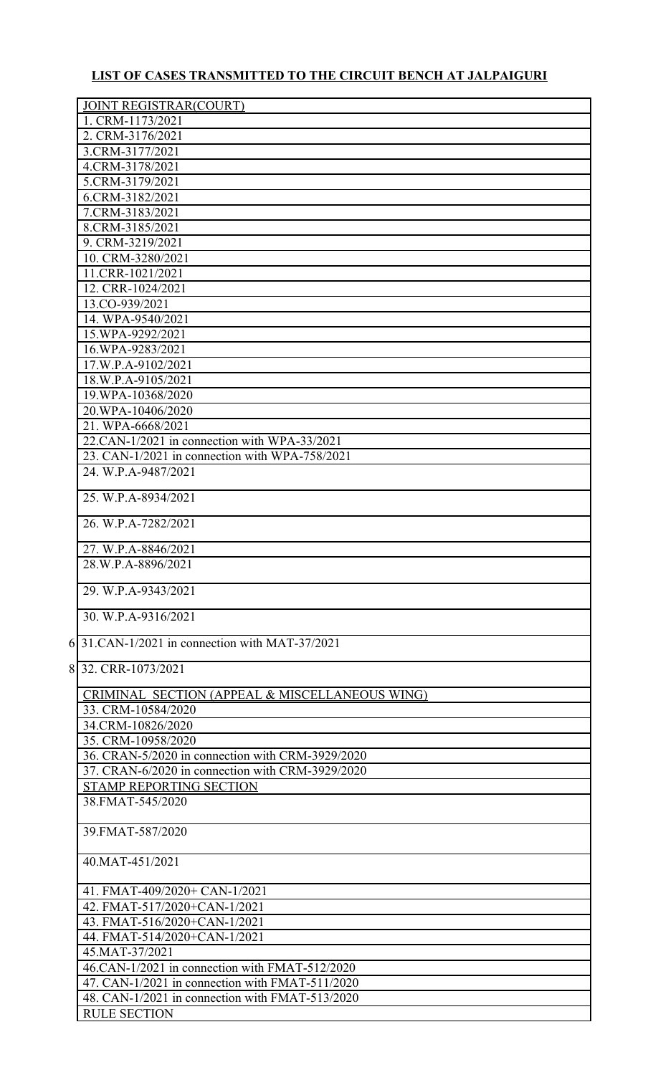## **LIST OF CASES TRANSMITTED TO THE CIRCUIT BENCH AT JALPAIGURI**

| 1. CRM-1173/2021<br>2. CRM-3176/2021<br>3.CRM-3177/2021<br>4.CRM-3178/2021<br>5.CRM-3179/2021<br>6.CRM-3182/2021<br>7.CRM-3183/2021<br>8.CRM-3185/2021<br>9. CRM-3219/2021<br>10. CRM-3280/2021<br>11.CRR-1021/2021<br>12. CRR-1024/2021<br>13.CO-939/2021<br>14. WPA-9540/2021<br>15.WPA-9292/2021<br>16.WPA-9283/2021<br>17.W.P.A-9102/2021<br>18.W.P.A-9105/2021<br>19.WPA-10368/2020<br>20.WPA-10406/2020<br>21. WPA-6668/2021<br>22.CAN-1/2021 in connection with WPA-33/2021<br>23. CAN-1/2021 in connection with WPA-758/2021<br>24. W.P.A-9487/2021<br>25. W.P.A-8934/2021<br>26. W.P.A-7282/2021<br>27. W.P.A-8846/2021<br>28.W.P.A-8896/2021<br>29. W.P.A-9343/2021<br>30. W.P.A-9316/2021<br>6 31. CAN-1/2021 in connection with MAT-37/2021<br>8 32. CRR-1073/2021<br>CRIMINAL SECTION (APPEAL & MISCELLANEOUS WING)<br>33. CRM-10584/2020<br>34.CRM-10826/2020<br>35. CRM-10958/2020<br>36. CRAN-5/2020 in connection with CRM-3929/2020<br>37. CRAN-6/2020 in connection with CRM-3929/2020<br><b>STAMP REPORTING SECTION</b><br>38.FMAT-545/2020<br>39. FMAT-587/2020<br>40.MAT-451/2021<br>41. FMAT-409/2020+ CAN-1/2021<br>42. FMAT-517/2020+CAN-1/2021<br>43. FMAT-516/2020+CAN-1/2021<br>44. FMAT-514/2020+CAN-1/2021<br>45.MAT-37/2021<br>46.CAN-1/2021 in connection with FMAT-512/2020<br>47. CAN-1/2021 in connection with FMAT-511/2020<br>48. CAN-1/2021 in connection with FMAT-513/2020<br><b>RULE SECTION</b> | <b>JOINT REGISTRAR(COURT)</b> |
|-------------------------------------------------------------------------------------------------------------------------------------------------------------------------------------------------------------------------------------------------------------------------------------------------------------------------------------------------------------------------------------------------------------------------------------------------------------------------------------------------------------------------------------------------------------------------------------------------------------------------------------------------------------------------------------------------------------------------------------------------------------------------------------------------------------------------------------------------------------------------------------------------------------------------------------------------------------------------------------------------------------------------------------------------------------------------------------------------------------------------------------------------------------------------------------------------------------------------------------------------------------------------------------------------------------------------------------------------------------------------------------------------------------------------------------------|-------------------------------|
|                                                                                                                                                                                                                                                                                                                                                                                                                                                                                                                                                                                                                                                                                                                                                                                                                                                                                                                                                                                                                                                                                                                                                                                                                                                                                                                                                                                                                                           |                               |
|                                                                                                                                                                                                                                                                                                                                                                                                                                                                                                                                                                                                                                                                                                                                                                                                                                                                                                                                                                                                                                                                                                                                                                                                                                                                                                                                                                                                                                           |                               |
|                                                                                                                                                                                                                                                                                                                                                                                                                                                                                                                                                                                                                                                                                                                                                                                                                                                                                                                                                                                                                                                                                                                                                                                                                                                                                                                                                                                                                                           |                               |
|                                                                                                                                                                                                                                                                                                                                                                                                                                                                                                                                                                                                                                                                                                                                                                                                                                                                                                                                                                                                                                                                                                                                                                                                                                                                                                                                                                                                                                           |                               |
|                                                                                                                                                                                                                                                                                                                                                                                                                                                                                                                                                                                                                                                                                                                                                                                                                                                                                                                                                                                                                                                                                                                                                                                                                                                                                                                                                                                                                                           |                               |
|                                                                                                                                                                                                                                                                                                                                                                                                                                                                                                                                                                                                                                                                                                                                                                                                                                                                                                                                                                                                                                                                                                                                                                                                                                                                                                                                                                                                                                           |                               |
|                                                                                                                                                                                                                                                                                                                                                                                                                                                                                                                                                                                                                                                                                                                                                                                                                                                                                                                                                                                                                                                                                                                                                                                                                                                                                                                                                                                                                                           |                               |
|                                                                                                                                                                                                                                                                                                                                                                                                                                                                                                                                                                                                                                                                                                                                                                                                                                                                                                                                                                                                                                                                                                                                                                                                                                                                                                                                                                                                                                           |                               |
|                                                                                                                                                                                                                                                                                                                                                                                                                                                                                                                                                                                                                                                                                                                                                                                                                                                                                                                                                                                                                                                                                                                                                                                                                                                                                                                                                                                                                                           |                               |
|                                                                                                                                                                                                                                                                                                                                                                                                                                                                                                                                                                                                                                                                                                                                                                                                                                                                                                                                                                                                                                                                                                                                                                                                                                                                                                                                                                                                                                           |                               |
|                                                                                                                                                                                                                                                                                                                                                                                                                                                                                                                                                                                                                                                                                                                                                                                                                                                                                                                                                                                                                                                                                                                                                                                                                                                                                                                                                                                                                                           |                               |
|                                                                                                                                                                                                                                                                                                                                                                                                                                                                                                                                                                                                                                                                                                                                                                                                                                                                                                                                                                                                                                                                                                                                                                                                                                                                                                                                                                                                                                           |                               |
|                                                                                                                                                                                                                                                                                                                                                                                                                                                                                                                                                                                                                                                                                                                                                                                                                                                                                                                                                                                                                                                                                                                                                                                                                                                                                                                                                                                                                                           |                               |
|                                                                                                                                                                                                                                                                                                                                                                                                                                                                                                                                                                                                                                                                                                                                                                                                                                                                                                                                                                                                                                                                                                                                                                                                                                                                                                                                                                                                                                           |                               |
|                                                                                                                                                                                                                                                                                                                                                                                                                                                                                                                                                                                                                                                                                                                                                                                                                                                                                                                                                                                                                                                                                                                                                                                                                                                                                                                                                                                                                                           |                               |
|                                                                                                                                                                                                                                                                                                                                                                                                                                                                                                                                                                                                                                                                                                                                                                                                                                                                                                                                                                                                                                                                                                                                                                                                                                                                                                                                                                                                                                           |                               |
|                                                                                                                                                                                                                                                                                                                                                                                                                                                                                                                                                                                                                                                                                                                                                                                                                                                                                                                                                                                                                                                                                                                                                                                                                                                                                                                                                                                                                                           |                               |
|                                                                                                                                                                                                                                                                                                                                                                                                                                                                                                                                                                                                                                                                                                                                                                                                                                                                                                                                                                                                                                                                                                                                                                                                                                                                                                                                                                                                                                           |                               |
|                                                                                                                                                                                                                                                                                                                                                                                                                                                                                                                                                                                                                                                                                                                                                                                                                                                                                                                                                                                                                                                                                                                                                                                                                                                                                                                                                                                                                                           |                               |
|                                                                                                                                                                                                                                                                                                                                                                                                                                                                                                                                                                                                                                                                                                                                                                                                                                                                                                                                                                                                                                                                                                                                                                                                                                                                                                                                                                                                                                           |                               |
|                                                                                                                                                                                                                                                                                                                                                                                                                                                                                                                                                                                                                                                                                                                                                                                                                                                                                                                                                                                                                                                                                                                                                                                                                                                                                                                                                                                                                                           |                               |
|                                                                                                                                                                                                                                                                                                                                                                                                                                                                                                                                                                                                                                                                                                                                                                                                                                                                                                                                                                                                                                                                                                                                                                                                                                                                                                                                                                                                                                           |                               |
|                                                                                                                                                                                                                                                                                                                                                                                                                                                                                                                                                                                                                                                                                                                                                                                                                                                                                                                                                                                                                                                                                                                                                                                                                                                                                                                                                                                                                                           |                               |
|                                                                                                                                                                                                                                                                                                                                                                                                                                                                                                                                                                                                                                                                                                                                                                                                                                                                                                                                                                                                                                                                                                                                                                                                                                                                                                                                                                                                                                           |                               |
|                                                                                                                                                                                                                                                                                                                                                                                                                                                                                                                                                                                                                                                                                                                                                                                                                                                                                                                                                                                                                                                                                                                                                                                                                                                                                                                                                                                                                                           |                               |
|                                                                                                                                                                                                                                                                                                                                                                                                                                                                                                                                                                                                                                                                                                                                                                                                                                                                                                                                                                                                                                                                                                                                                                                                                                                                                                                                                                                                                                           |                               |
|                                                                                                                                                                                                                                                                                                                                                                                                                                                                                                                                                                                                                                                                                                                                                                                                                                                                                                                                                                                                                                                                                                                                                                                                                                                                                                                                                                                                                                           |                               |
|                                                                                                                                                                                                                                                                                                                                                                                                                                                                                                                                                                                                                                                                                                                                                                                                                                                                                                                                                                                                                                                                                                                                                                                                                                                                                                                                                                                                                                           |                               |
|                                                                                                                                                                                                                                                                                                                                                                                                                                                                                                                                                                                                                                                                                                                                                                                                                                                                                                                                                                                                                                                                                                                                                                                                                                                                                                                                                                                                                                           |                               |
|                                                                                                                                                                                                                                                                                                                                                                                                                                                                                                                                                                                                                                                                                                                                                                                                                                                                                                                                                                                                                                                                                                                                                                                                                                                                                                                                                                                                                                           |                               |
|                                                                                                                                                                                                                                                                                                                                                                                                                                                                                                                                                                                                                                                                                                                                                                                                                                                                                                                                                                                                                                                                                                                                                                                                                                                                                                                                                                                                                                           |                               |
|                                                                                                                                                                                                                                                                                                                                                                                                                                                                                                                                                                                                                                                                                                                                                                                                                                                                                                                                                                                                                                                                                                                                                                                                                                                                                                                                                                                                                                           |                               |
|                                                                                                                                                                                                                                                                                                                                                                                                                                                                                                                                                                                                                                                                                                                                                                                                                                                                                                                                                                                                                                                                                                                                                                                                                                                                                                                                                                                                                                           |                               |
|                                                                                                                                                                                                                                                                                                                                                                                                                                                                                                                                                                                                                                                                                                                                                                                                                                                                                                                                                                                                                                                                                                                                                                                                                                                                                                                                                                                                                                           |                               |
|                                                                                                                                                                                                                                                                                                                                                                                                                                                                                                                                                                                                                                                                                                                                                                                                                                                                                                                                                                                                                                                                                                                                                                                                                                                                                                                                                                                                                                           |                               |
|                                                                                                                                                                                                                                                                                                                                                                                                                                                                                                                                                                                                                                                                                                                                                                                                                                                                                                                                                                                                                                                                                                                                                                                                                                                                                                                                                                                                                                           |                               |
|                                                                                                                                                                                                                                                                                                                                                                                                                                                                                                                                                                                                                                                                                                                                                                                                                                                                                                                                                                                                                                                                                                                                                                                                                                                                                                                                                                                                                                           |                               |
|                                                                                                                                                                                                                                                                                                                                                                                                                                                                                                                                                                                                                                                                                                                                                                                                                                                                                                                                                                                                                                                                                                                                                                                                                                                                                                                                                                                                                                           |                               |
|                                                                                                                                                                                                                                                                                                                                                                                                                                                                                                                                                                                                                                                                                                                                                                                                                                                                                                                                                                                                                                                                                                                                                                                                                                                                                                                                                                                                                                           |                               |
|                                                                                                                                                                                                                                                                                                                                                                                                                                                                                                                                                                                                                                                                                                                                                                                                                                                                                                                                                                                                                                                                                                                                                                                                                                                                                                                                                                                                                                           |                               |
|                                                                                                                                                                                                                                                                                                                                                                                                                                                                                                                                                                                                                                                                                                                                                                                                                                                                                                                                                                                                                                                                                                                                                                                                                                                                                                                                                                                                                                           |                               |
|                                                                                                                                                                                                                                                                                                                                                                                                                                                                                                                                                                                                                                                                                                                                                                                                                                                                                                                                                                                                                                                                                                                                                                                                                                                                                                                                                                                                                                           |                               |
|                                                                                                                                                                                                                                                                                                                                                                                                                                                                                                                                                                                                                                                                                                                                                                                                                                                                                                                                                                                                                                                                                                                                                                                                                                                                                                                                                                                                                                           |                               |
|                                                                                                                                                                                                                                                                                                                                                                                                                                                                                                                                                                                                                                                                                                                                                                                                                                                                                                                                                                                                                                                                                                                                                                                                                                                                                                                                                                                                                                           |                               |
|                                                                                                                                                                                                                                                                                                                                                                                                                                                                                                                                                                                                                                                                                                                                                                                                                                                                                                                                                                                                                                                                                                                                                                                                                                                                                                                                                                                                                                           |                               |
|                                                                                                                                                                                                                                                                                                                                                                                                                                                                                                                                                                                                                                                                                                                                                                                                                                                                                                                                                                                                                                                                                                                                                                                                                                                                                                                                                                                                                                           |                               |
|                                                                                                                                                                                                                                                                                                                                                                                                                                                                                                                                                                                                                                                                                                                                                                                                                                                                                                                                                                                                                                                                                                                                                                                                                                                                                                                                                                                                                                           |                               |
|                                                                                                                                                                                                                                                                                                                                                                                                                                                                                                                                                                                                                                                                                                                                                                                                                                                                                                                                                                                                                                                                                                                                                                                                                                                                                                                                                                                                                                           |                               |
|                                                                                                                                                                                                                                                                                                                                                                                                                                                                                                                                                                                                                                                                                                                                                                                                                                                                                                                                                                                                                                                                                                                                                                                                                                                                                                                                                                                                                                           |                               |
|                                                                                                                                                                                                                                                                                                                                                                                                                                                                                                                                                                                                                                                                                                                                                                                                                                                                                                                                                                                                                                                                                                                                                                                                                                                                                                                                                                                                                                           |                               |
|                                                                                                                                                                                                                                                                                                                                                                                                                                                                                                                                                                                                                                                                                                                                                                                                                                                                                                                                                                                                                                                                                                                                                                                                                                                                                                                                                                                                                                           |                               |